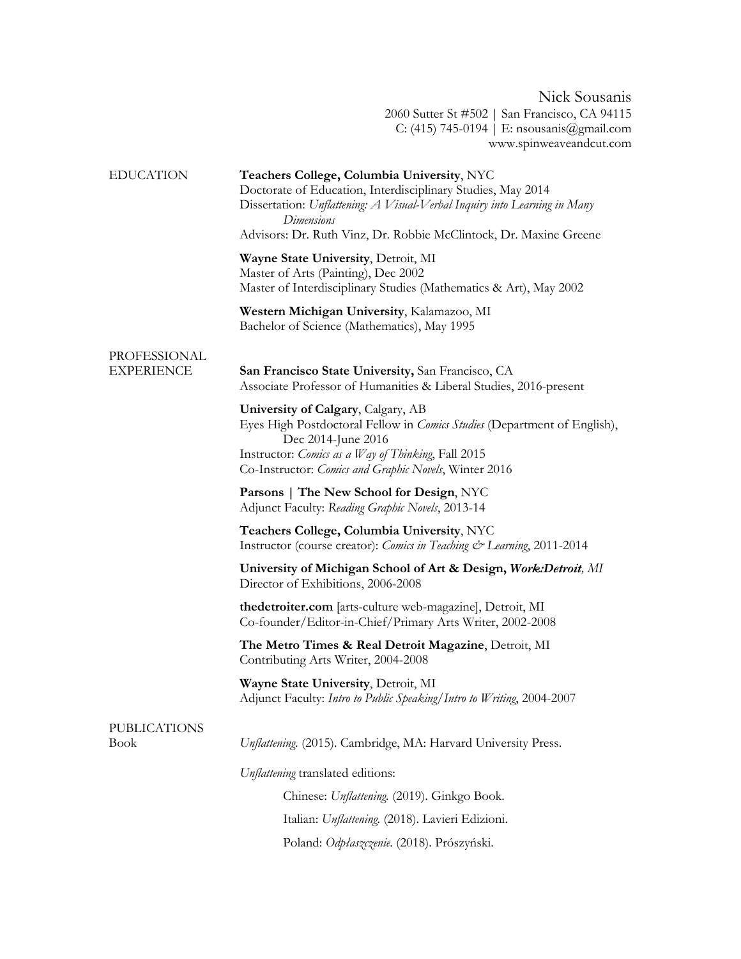Nick Sousanis 2060 Sutter St #502 | San Francisco, CA 94115 C: (415) 745-0194 | E: nsousanis@gmail.com www.spinweaveandcut.com

| <b>EDUCATION</b>                   | Teachers College, Columbia University, NYC<br>Doctorate of Education, Interdisciplinary Studies, May 2014<br>Dissertation: Unflattening: A Visual-Verbal Inquiry into Learning in Many<br>Dimensions<br>Advisors: Dr. Ruth Vinz, Dr. Robbie McClintock, Dr. Maxine Greene |
|------------------------------------|---------------------------------------------------------------------------------------------------------------------------------------------------------------------------------------------------------------------------------------------------------------------------|
|                                    | Wayne State University, Detroit, MI<br>Master of Arts (Painting), Dec 2002<br>Master of Interdisciplinary Studies (Mathematics & Art), May 2002                                                                                                                           |
|                                    | Western Michigan University, Kalamazoo, MI<br>Bachelor of Science (Mathematics), May 1995                                                                                                                                                                                 |
| PROFESSIONAL<br><b>EXPERIENCE</b>  | San Francisco State University, San Francisco, CA<br>Associate Professor of Humanities & Liberal Studies, 2016-present                                                                                                                                                    |
|                                    | University of Calgary, Calgary, AB<br>Eyes High Postdoctoral Fellow in <i>Comics Studies</i> (Department of English),<br>Dec 2014-June 2016<br>Instructor: Comics as a Way of Thinking, Fall 2015<br>Co-Instructor: Comics and Graphic Novels, Winter 2016                |
|                                    | Parsons   The New School for Design, NYC<br>Adjunct Faculty: Reading Graphic Novels, 2013-14                                                                                                                                                                              |
|                                    | Teachers College, Columbia University, NYC<br>Instructor (course creator): Comics in Teaching & Learning, 2011-2014                                                                                                                                                       |
|                                    | University of Michigan School of Art & Design, Work: Detroit, MI<br>Director of Exhibitions, 2006-2008                                                                                                                                                                    |
|                                    | thedetroiter.com [arts-culture web-magazine], Detroit, MI<br>Co-founder/Editor-in-Chief/Primary Arts Writer, 2002-2008                                                                                                                                                    |
|                                    | The Metro Times & Real Detroit Magazine, Detroit, MI<br>Contributing Arts Writer, 2004-2008                                                                                                                                                                               |
|                                    | Wayne State University, Detroit, MI<br>Adjunct Faculty: Intro to Public Speaking/Intro to Writing, 2004-2007                                                                                                                                                              |
| <b>PUBLICATIONS</b><br><b>Book</b> | Unflattening. (2015). Cambridge, MA: Harvard University Press.                                                                                                                                                                                                            |
|                                    | Unflattening translated editions:                                                                                                                                                                                                                                         |
|                                    | Chinese: Unflattening. (2019). Ginkgo Book.                                                                                                                                                                                                                               |
|                                    | Italian: Unflattening. (2018). Lavieri Edizioni.                                                                                                                                                                                                                          |
|                                    | Poland: Odpłaszczenie. (2018). Prószyński.                                                                                                                                                                                                                                |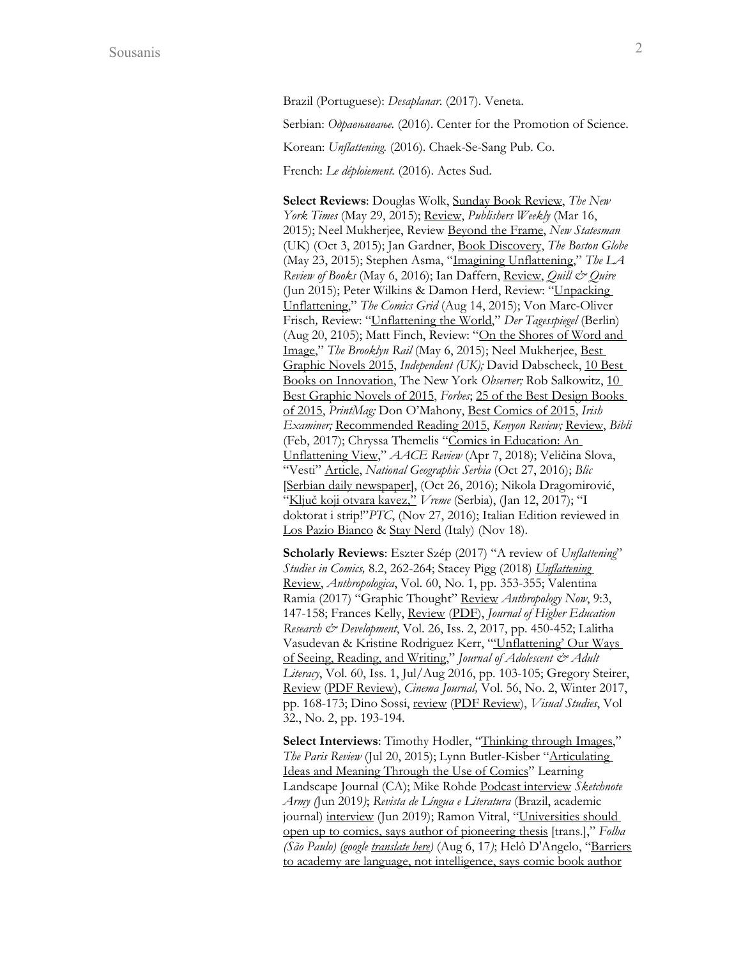Brazil (Portuguese): *Desaplanar*. (2017). Veneta.

Serbian: *Одравњивање.* (2016). Center for the Promotion of Science.

Korean: *Unflattening.* (2016). Chaek-Se-Sang Pub. Co.

French: *Le déploiement.* (2016). Actes Sud.

**Select Reviews**: Douglas Wolk, Sunday Book Review, *The New York Times* (May 29, 2015); Review, *Publishers Weekly* (Mar 16, 2015); Neel Mukherjee, Review Beyond the Frame, *New Statesman* (UK) (Oct 3, 2015); Jan Gardner, Book Discovery, *The Boston Globe* (May 23, 2015); Stephen Asma, "Imagining Unflattening," *The LA Review of Books* (May 6, 2016); Ian Daffern, Review, *Quill & Quire* (Jun 2015); Peter Wilkins & Damon Herd, Review: "Unpacking Unflattening," *The Comics Grid* (Aug 14, 2015); Von Marc-Oliver Frisch*,* Review: "Unflattening the World," *Der Tagesspiegel* (Berlin) (Aug 20, 2105); Matt Finch, Review: "On the Shores of Word and Image," *The Brooklyn Rail* (May 6, 2015); Neel Mukherjee, Best Graphic Novels 2015, *Independent (UK);* David Dabscheck, 10 Best Books on Innovation, The New York *Observer;* Rob Salkowitz, 10 Best Graphic Novels of 2015, *Forbes*; 25 of the Best Design Books of 2015, *PrintMag;* Don O'Mahony, Best Comics of 2015, *Irish Examiner;* Recommended Reading 2015, *Kenyon Review;* Review, *Bibli*  (Feb, 2017); Chryssa Themelis "Comics in Education: An Unflattening View," *AACE Review* (Apr 7, 2018); Veličina Slova, "Vesti" Article, *National Geographic Serbia* (Oct 27, 2016); *Blic*  [Serbian daily newspaper], (Oct 26, 2016); Nikola Dragomirović, "Ključ koji otvara kavez," *Vreme* (Serbia), (Jan 12, 2017); "I doktorat i strip!"*PTC*, (Nov 27, 2016); Italian Edition reviewed in Los Pazio Bianco & Stay Nerd (Italy) (Nov 18).

**Scholarly Reviews**: Eszter Szép (2017) "A review of *Unflattening*" *Studies in Comics,* 8.2, 262-264; Stacey Pigg (2018) *Unflattening*  Review, *Anthropologica*, Vol. 60, No. 1, pp. 353-355; Valentina Ramia (2017) "Graphic Thought" Review *Anthropology Now*, 9:3, 147-158; Frances Kelly, Review (PDF), *Journal of Higher Education Research & Development*, Vol. 26, Iss. 2, 2017, pp. 450-452; Lalitha Vasudevan & Kristine Rodriguez Kerr, "'Unflattening' Our Ways of Seeing, Reading, and Writing," *Journal of Adolescent & Adult Literacy*, Vol. 60, Iss. 1, Jul/Aug 2016, pp. 103-105; Gregory Steirer, Review (PDF Review), *Cinema Journal,* Vol. 56, No. 2, Winter 2017, pp. 168-173; Dino Sossi, review (PDF Review), *Visual Studies*, Vol 32., No. 2, pp. 193-194.

Select Interviews: Timothy Hodler, "Thinking through Images," *The Paris Review* (Jul 20, 2015); Lynn Butler-Kisber "Articulating Ideas and Meaning Through the Use of Comics" Learning Landscape Journal (CA); Mike Rohde Podcast interview *Sketchnote Army (*Jun 2019*)*; *Revista de Língua e Literatura* (Brazil, academic journal) interview (Jun 2019); Ramon Vitral, "Universities should open up to comics, says author of pioneering thesis [trans.]," *Folha (São Paulo) (google translate here)* (Aug 6, 17*)*; Helô D'Angelo, "Barriers to academy are language, not intelligence, says comic book author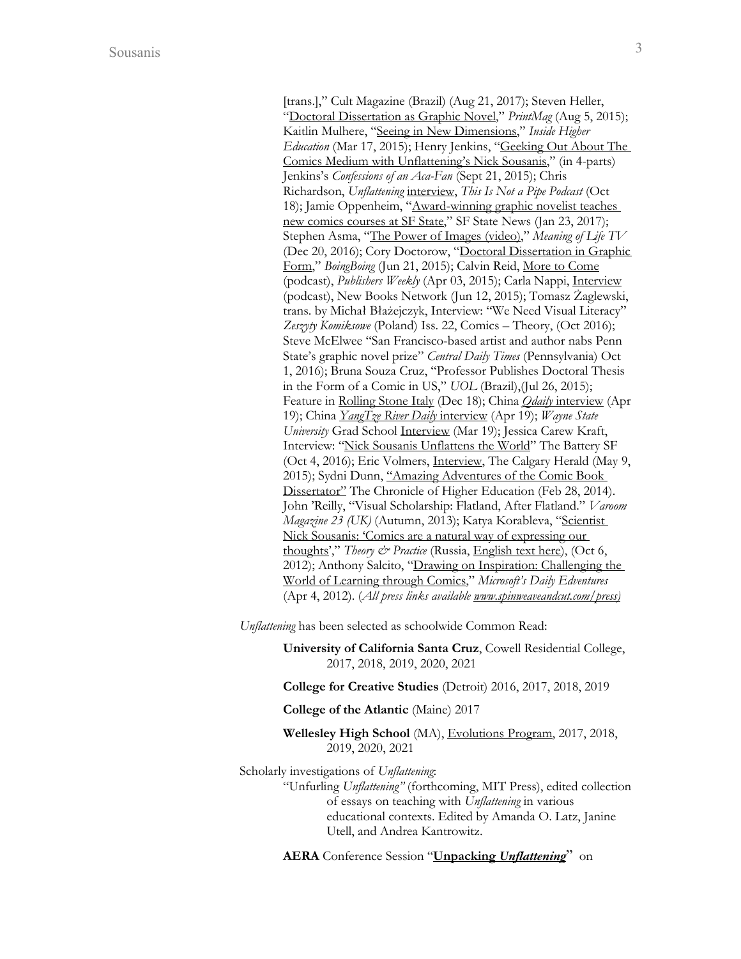[trans.]," Cult Magazine (Brazil) (Aug 21, 2017); Steven Heller, "Doctoral Dissertation as Graphic Novel," *PrintMag* (Aug 5, 2015); Kaitlin Mulhere, "Seeing in New Dimensions," *Inside Higher Education* (Mar 17, 2015); Henry Jenkins, "Geeking Out About The Comics Medium with Unflattening's Nick Sousanis," (in 4-parts) Jenkins's *Confessions of an Aca-Fan* (Sept 21, 2015); Chris Richardson, *Unflattening* interview, *This Is Not a Pipe Podcast* (Oct 18); Jamie Oppenheim, "Award-winning graphic novelist teaches new comics courses at SF State," SF State News (Jan 23, 2017); Stephen Asma, "The Power of Images (video)," *Meaning of Life TV*  (Dec 20, 2016); Cory Doctorow, "Doctoral Dissertation in Graphic Form," *BoingBoing* (Jun 21, 2015); Calvin Reid, More to Come (podcast), *Publishers Weekly* (Apr 03, 2015); Carla Nappi, Interview (podcast), New Books Network (Jun 12, 2015); Tomasz Żaglewski, trans. by Michał Błażejczyk, Interview: "We Need Visual Literacy" *Zeszyty Komiksowe* (Poland) Iss. 22, Comics – Theory, (Oct 2016); Steve McElwee "San Francisco-based artist and author nabs Penn State's graphic novel prize" *Central Daily Times* (Pennsylvania) Oct 1, 2016); Bruna Souza Cruz, "Professor Publishes Doctoral Thesis in the Form of a Comic in US," *UOL* (Brazil),(Jul 26, 2015); Feature in Rolling Stone Italy (Dec 18); China *Qdaily* interview (Apr 19); China *YangTze River Daily* interview (Apr 19); *Wayne State University* Grad School Interview (Mar 19); Jessica Carew Kraft, Interview: "Nick Sousanis Unflattens the World" The Battery SF (Oct 4, 2016); Eric Volmers, Interview, The Calgary Herald (May 9, 2015); Sydni Dunn, "Amazing Adventures of the Comic Book Dissertator" The Chronicle of Higher Education (Feb 28, 2014). John 'Reilly, "Visual Scholarship: Flatland, After Flatland." *Varoom Magazine 23 (UK)* (Autumn, 2013); Katya Korableva, "Scientist Nick Sousanis: 'Comics are a natural way of expressing our thoughts'," *Theory & Practice* (Russia, English text here), (Oct 6, 2012); Anthony Salcito, "Drawing on Inspiration: Challenging the World of Learning through Comics," *Microsoft's Daily Edventures* (Apr 4, 2012). (*All press links available www.spinweaveandcut.com/press)*

*Unflattening* has been selected as schoolwide Common Read:

**University of California Santa Cruz**, Cowell Residential College, 2017, 2018, 2019, 2020, 2021

**College for Creative Studies** (Detroit) 2016, 2017, 2018, 2019

**College of the Atlantic** (Maine) 2017

**Wellesley High School** (MA), Evolutions Program, 2017, 2018, 2019, 2020, 2021

Scholarly investigations of *Unflattening*:

"Unfurling *Unflattening"* (forthcoming, MIT Press), edited collection of essays on teaching with *Unflattening* in various educational contexts. Edited by Amanda O. Latz, Janine Utell, and Andrea Kantrowitz.

**AERA** Conference Session "**Unpacking** *Unflattening*" on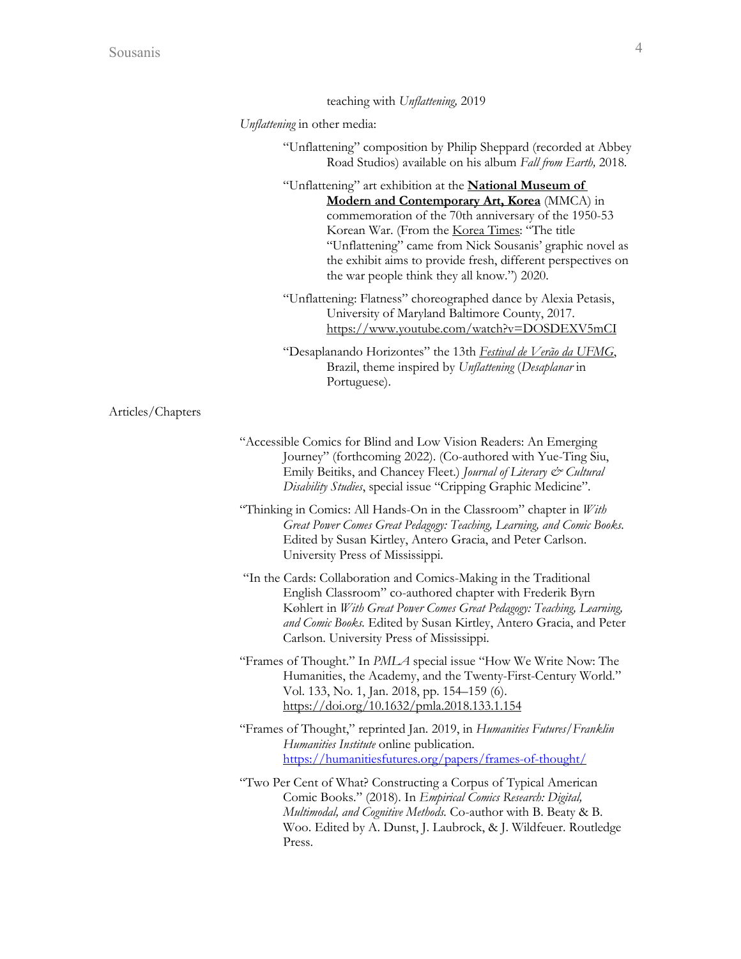|                   | teaching with Unflattening, 2019                                                                                                                                                                                                                                                                                                                                                                   |
|-------------------|----------------------------------------------------------------------------------------------------------------------------------------------------------------------------------------------------------------------------------------------------------------------------------------------------------------------------------------------------------------------------------------------------|
|                   | Unflattening in other media:                                                                                                                                                                                                                                                                                                                                                                       |
|                   | "Unflattening" composition by Philip Sheppard (recorded at Abbey<br>Road Studios) available on his album Fall from Earth, 2018.                                                                                                                                                                                                                                                                    |
|                   | "Unflattening" art exhibition at the <b>National Museum of</b><br>Modern and Contemporary Art, Korea (MMCA) in<br>commemoration of the 70th anniversary of the 1950-53<br>Korean War. (From the Korea Times: "The title<br>"Unflattening" came from Nick Sousanis' graphic novel as<br>the exhibit aims to provide fresh, different perspectives on<br>the war people think they all know.") 2020. |
|                   | "Unflattening: Flatness" choreographed dance by Alexia Petasis,<br>University of Maryland Baltimore County, 2017.<br>https://www.youtube.com/watch?v=DOSDEXV5mCI                                                                                                                                                                                                                                   |
|                   | "Desaplanando Horizontes" the 13th Festival de Verão da UFMG,<br>Brazil, theme inspired by Unflattening (Desaplanar in<br>Portuguese).                                                                                                                                                                                                                                                             |
| Articles/Chapters |                                                                                                                                                                                                                                                                                                                                                                                                    |
|                   | "Accessible Comics for Blind and Low Vision Readers: An Emerging<br>Journey" (forthcoming 2022). (Co-authored with Yue-Ting Siu,<br>Emily Beitiks, and Chancey Fleet.) Journal of Literary & Cultural<br>Disability Studies, special issue "Cripping Graphic Medicine".                                                                                                                            |
|                   | "Thinking in Comics: All Hands-On in the Classroom" chapter in With<br>Great Power Comes Great Pedagogy: Teaching, Learning, and Comic Books.<br>Edited by Susan Kirtley, Antero Gracia, and Peter Carlson.<br>University Press of Mississippi.                                                                                                                                                    |
|                   | "In the Cards: Collaboration and Comics-Making in the Traditional<br>English Classroom" co-authored chapter with Frederik Byrn<br>Køhlert in With Great Power Comes Great Pedagogy: Teaching, Learning,<br>and Comic Books. Edited by Susan Kirtley, Antero Gracia, and Peter<br>Carlson. University Press of Mississippi.                                                                         |
|                   | "Frames of Thought." In <i>PMLA</i> special issue "How We Write Now: The<br>Humanities, the Academy, and the Twenty-First-Century World."<br>Vol. 133, No. 1, Jan. 2018, pp. 154–159 (6).<br>https://doi.org/10.1632/pmla.2018.133.1.154                                                                                                                                                           |
|                   | "Frames of Thought," reprinted Jan. 2019, in Humanities Futures/Franklin<br>Humanities Institute online publication.<br>https://humanitiesfutures.org/papers/frames-of-thought/                                                                                                                                                                                                                    |
|                   | "Two Per Cent of What? Constructing a Corpus of Typical American<br>Comic Books." (2018). In Empirical Comics Research: Digital,<br>Multimodal, and Cognitive Methods. Co-author with B. Beaty & B.<br>Woo. Edited by A. Dunst, J. Laubrock, & J. Wildfeuer. Routledge<br>Press.                                                                                                                   |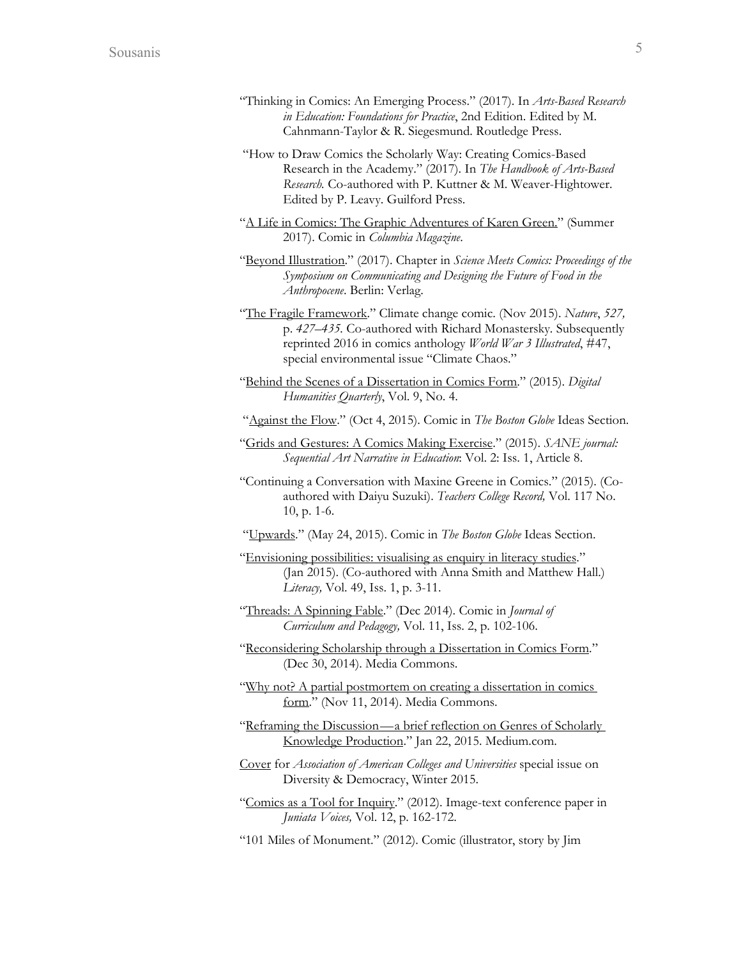- "Thinking in Comics: An Emerging Process." (2017). In *Arts-Based Research in Education: Foundations for Practice*, 2nd Edition. Edited by M. Cahnmann-Taylor & R. Siegesmund. Routledge Press.
- "How to Draw Comics the Scholarly Way: Creating Comics-Based Research in the Academy." (2017). In *The Handbook of Arts-Based Research.* Co-authored with P. Kuttner & M. Weaver-Hightower. Edited by P. Leavy. Guilford Press.
- "A Life in Comics: The Graphic Adventures of Karen Green." (Summer 2017). Comic in *Columbia Magazine*.
- "Beyond Illustration." (2017). Chapter in *Science Meets Comics: Proceedings of the Symposium on Communicating and Designing the Future of Food in the Anthropocene*. Berlin: Verlag.
- "The Fragile Framework." Climate change comic. (Nov 2015). *Nature*, *527,*  p. *427–435.* Co-authored with Richard Monastersky*.* Subsequently reprinted 2016 in comics anthology *World War 3 Illustrated*, #47, special environmental issue "Climate Chaos."
- "Behind the Scenes of a Dissertation in Comics Form." (2015). *Digital Humanities Quarterly*, Vol. 9, No. 4.
- "Against the Flow." (Oct 4, 2015). Comic in *The Boston Globe* Ideas Section.
- "Grids and Gestures: A Comics Making Exercise." (2015). *SANE journal: Sequential Art Narrative in Education*: Vol. 2: Iss. 1, Article 8.
- "Continuing a Conversation with Maxine Greene in Comics." (2015). (Coauthored with Daiyu Suzuki). *Teachers College Record,* Vol. 117 No. 10, p. 1-6.
- "Upwards." (May 24, 2015). Comic in *The Boston Globe* Ideas Section.
- "Envisioning possibilities: visualising as enquiry in literacy studies." (Jan 2015). (Co-authored with Anna Smith and Matthew Hall.) *Literacy,* Vol. 49, Iss. 1, p. 3-11.
- "Threads: A Spinning Fable." (Dec 2014). Comic in *Journal of Curriculum and Pedagogy,* Vol. 11, Iss. 2, p. 102-106.
- "Reconsidering Scholarship through a Dissertation in Comics Form." (Dec 30, 2014). Media Commons.
- "Why not? A partial postmortem on creating a dissertation in comics form." (Nov 11, 2014). Media Commons.
- "Reframing the Discussion—a brief reflection on Genres of Scholarly Knowledge Production." Jan 22, 2015. Medium.com.
- Cover for *Association of American Colleges and Universities* special issue on Diversity & Democracy, Winter 2015.
- "Comics as a Tool for Inquiry." (2012). Image-text conference paper in *Juniata Voices,* Vol. 12, p. 162-172.
- "101 Miles of Monument." (2012). Comic (illustrator, story by Jim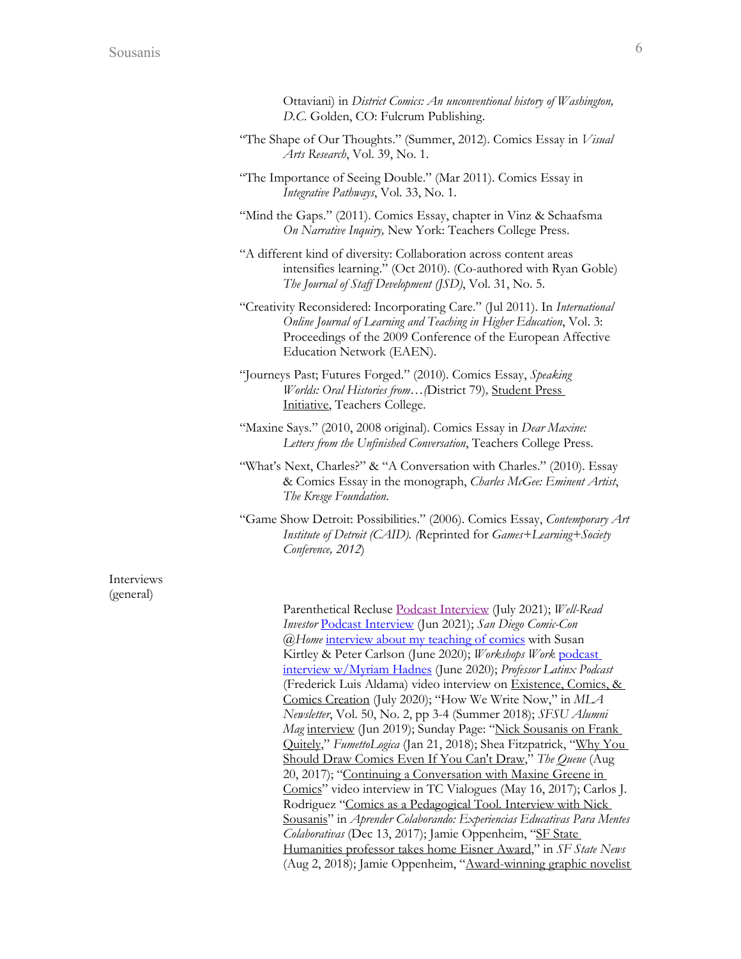- "The Shape of Our Thoughts." (Summer, 2012). Comics Essay in *Visual Arts Research*, Vol. 39, No. 1.
- "The Importance of Seeing Double." (Mar 2011). Comics Essay in *Integrative Pathways*, Vol. 33, No. 1.
- "Mind the Gaps." (2011). Comics Essay, chapter in Vinz & Schaafsma *On Narrative Inquiry,* New York: Teachers College Press.
- "A different kind of diversity: Collaboration across content areas intensifies learning." (Oct 2010). (Co-authored with Ryan Goble) *The Journal of Staff Development (JSD)*, Vol. 31, No. 5.
- "Creativity Reconsidered: Incorporating Care." (Jul 2011). In *International Online Journal of Learning and Teaching in Higher Education*, Vol. 3: Proceedings of the 2009 Conference of the European Affective Education Network (EAEN).
- "Journeys Past; Futures Forged." (2010). Comics Essay, *Speaking Worlds: Oral Histories from…(*District 79)*,* Student Press Initiative, Teachers College.
- "Maxine Says." (2010, 2008 original). Comics Essay in *Dear Maxine: Letters from the Unfinished Conversation*, Teachers College Press.
- "What's Next, Charles?" & "A Conversation with Charles." (2010). Essay & Comics Essay in the monograph, *Charles McGee: Eminent Artist*, *The Kresge Foundation*.
- "Game Show Detroit: Possibilities." (2006). Comics Essay, *Contemporary Art Institute of Detroit (CAID). (*Reprinted for *Games+Learning+Society Conference, 2012*)

Interviews (general)

Parenthetical Recluse Podcast Interview (July 2021); *Well-Read Investor* Podcast Interview (Jun 2021); *San Diego Comic-Con @Home* interview about my teaching of comics with Susan Kirtley & Peter Carlson (June 2020); *Workshops Work* podcast interview w/Myriam Hadnes (June 2020); *Professor Latinx Podcast* (Frederick Luis Aldama) video interview on Existence, Comics, & Comics Creation (July 2020); "How We Write Now," in *MLA Newsletter*, Vol. 50, No. 2, pp 3-4 (Summer 2018); *SFSU Alumni Mag* interview (Jun 2019); Sunday Page: "Nick Sousanis on Frank Quitely," *FumettoLogica* (Jan 21, 2018); Shea Fitzpatrick, "Why You Should Draw Comics Even If You Can't Draw," *The Queue* (Aug 20, 2017); "Continuing a Conversation with Maxine Greene in Comics" video interview in TC Vialogues (May 16, 2017); Carlos J. Rodriguez "Comics as a Pedagogical Tool. Interview with Nick Sousanis" in *Aprender Colaborando: Experiencias Educativas Para Mentes Colaborativas* (Dec 13, 2017); Jamie Oppenheim, "SF State Humanities professor takes home Eisner Award," in *SF State News* (Aug 2, 2018); Jamie Oppenheim, "Award-winning graphic novelist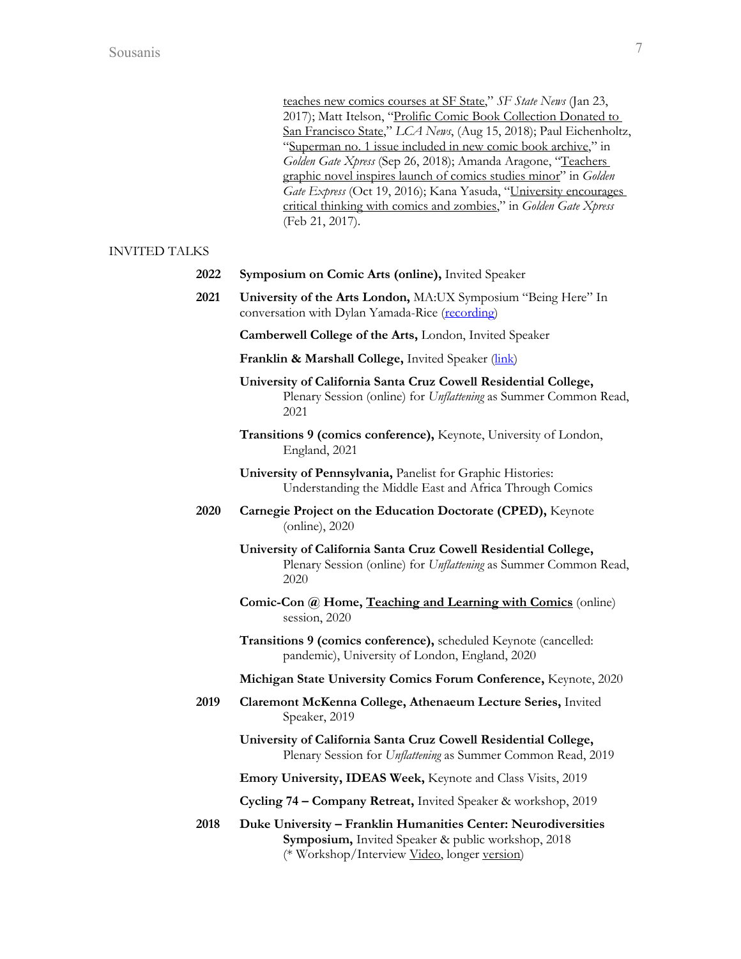teaches new comics courses at SF State," *SF State News* (Jan 23, 2017); Matt Itelson, "Prolific Comic Book Collection Donated to San Francisco State," *LCA News*, (Aug 15, 2018); Paul Eichenholtz, "Superman no. 1 issue included in new comic book archive," in *Golden Gate Xpress* (Sep 26, 2018); Amanda Aragone, "Teachers graphic novel inspires launch of comics studies minor" in *Golden Gate Express* (Oct 19, 2016); Kana Yasuda, "University encourages critical thinking with comics and zombies," in *Golden Gate Xpress* (Feb 21, 2017).

## INVITED TALKS

|  | 2022 Symposium on Comic Arts (online), Invited Speaker |  |  |  |  |
|--|--------------------------------------------------------|--|--|--|--|
|--|--------------------------------------------------------|--|--|--|--|

- **2021 University of the Arts London,** MA:UX Symposium "Being Here" In conversation with Dylan Yamada-Rice (recording)
	- **Camberwell College of the Arts,** London, Invited Speaker
	- Franklin & Marshall College, Invited Speaker (*link*)
	- **University of California Santa Cruz Cowell Residential College,**  Plenary Session (online) for *Unflattening* as Summer Common Read, 2021
	- **Transitions 9 (comics conference),** Keynote, University of London, England, 2021
	- **University of Pennsylvania,** Panelist for Graphic Histories: Understanding the Middle East and Africa Through Comics
- **2020 Carnegie Project on the Education Doctorate (CPED),** Keynote (online), 2020
	- **University of California Santa Cruz Cowell Residential College,**  Plenary Session (online) for *Unflattening* as Summer Common Read, 2020
	- **Comic-Con @ Home, Teaching and Learning with Comics** (online) session, 2020
	- **Transitions 9 (comics conference),** scheduled Keynote (cancelled: pandemic), University of London, England, 2020
	- **Michigan State University Comics Forum Conference,** Keynote, 2020
- **2019 Claremont McKenna College, Athenaeum Lecture Series,** Invited Speaker, 2019
	- **University of California Santa Cruz Cowell Residential College,**  Plenary Session for *Unflattening* as Summer Common Read, 2019

**Emory University, IDEAS Week,** Keynote and Class Visits, 2019

**Cycling 74 – Company Retreat,** Invited Speaker & workshop, 2019

**2018 Duke University – Franklin Humanities Center: Neurodiversities Symposium,** Invited Speaker & public workshop, 2018 (\* Workshop/Interview Video, longer version)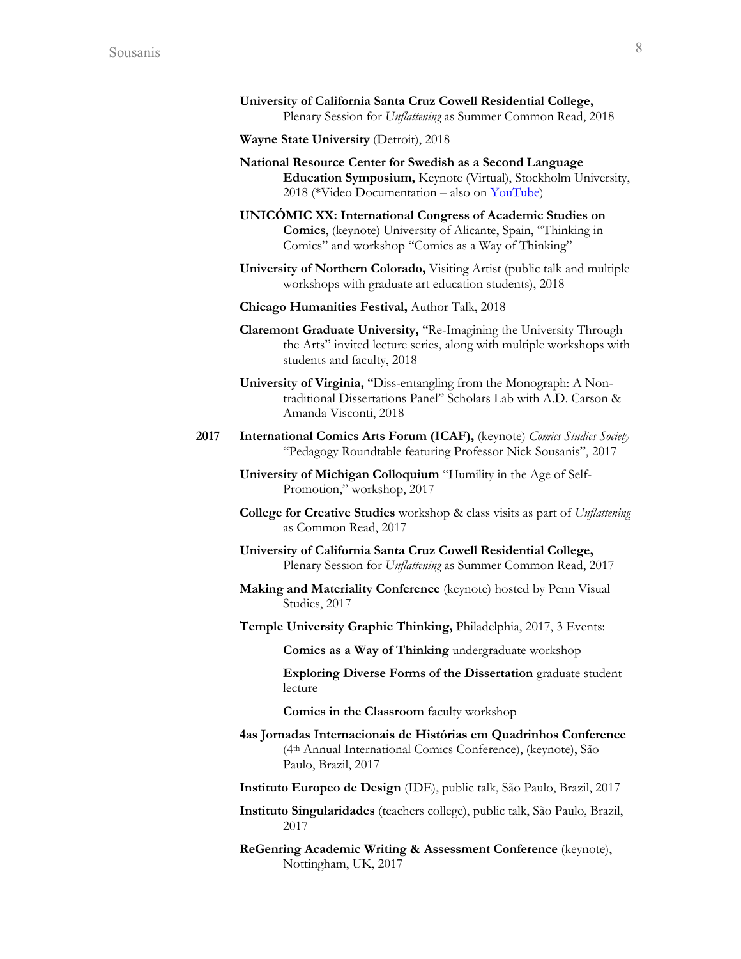**University of California Santa Cruz Cowell Residential College,**  Plenary Session for *Unflattening* as Summer Common Read, 2018

**Wayne State University** (Detroit), 2018

- **National Resource Center for Swedish as a Second Language Education Symposium,** Keynote (Virtual), Stockholm University, 2018 (\*Video Documentation – also on YouTube)
- **UNICÓMIC XX: International Congress of Academic Studies on Comics**, (keynote) University of Alicante, Spain, "Thinking in Comics" and workshop "Comics as a Way of Thinking"
- **University of Northern Colorado,** Visiting Artist (public talk and multiple workshops with graduate art education students), 2018
- **Chicago Humanities Festival,** Author Talk, 2018
- **Claremont Graduate University,** "Re-Imagining the University Through the Arts" invited lecture series, along with multiple workshops with students and faculty, 2018
- **University of Virginia,** "Diss-entangling from the Monograph: A Nontraditional Dissertations Panel" Scholars Lab with A.D. Carson & Amanda Visconti, 2018
- **2017 International Comics Arts Forum (ICAF),** (keynote) *Comics Studies Society* "Pedagogy Roundtable featuring Professor Nick Sousanis", 2017

**University of Michigan Colloquium** "Humility in the Age of Self-Promotion," workshop, 2017

- **College for Creative Studies** workshop & class visits as part of *Unflattening* as Common Read, 2017
- **University of California Santa Cruz Cowell Residential College,**  Plenary Session for *Unflattening* as Summer Common Read, 2017
- **Making and Materiality Conference** (keynote) hosted by Penn Visual Studies, 2017
- **Temple University Graphic Thinking,** Philadelphia, 2017, 3 Events:

**Comics as a Way of Thinking** undergraduate workshop

**Exploring Diverse Forms of the Dissertation** graduate student lecture

**Comics in the Classroom** faculty workshop

- **4as Jornadas Internacionais de Histórias em Quadrinhos Conference** (4th Annual International Comics Conference), (keynote), São Paulo, Brazil, 2017
- **Instituto Europeo de Design** (IDE), public talk, São Paulo, Brazil, 2017
- **Instituto Singularidades** (teachers college), public talk, São Paulo, Brazil, 2017
- **ReGenring Academic Writing & Assessment Conference** (keynote), Nottingham, UK, 2017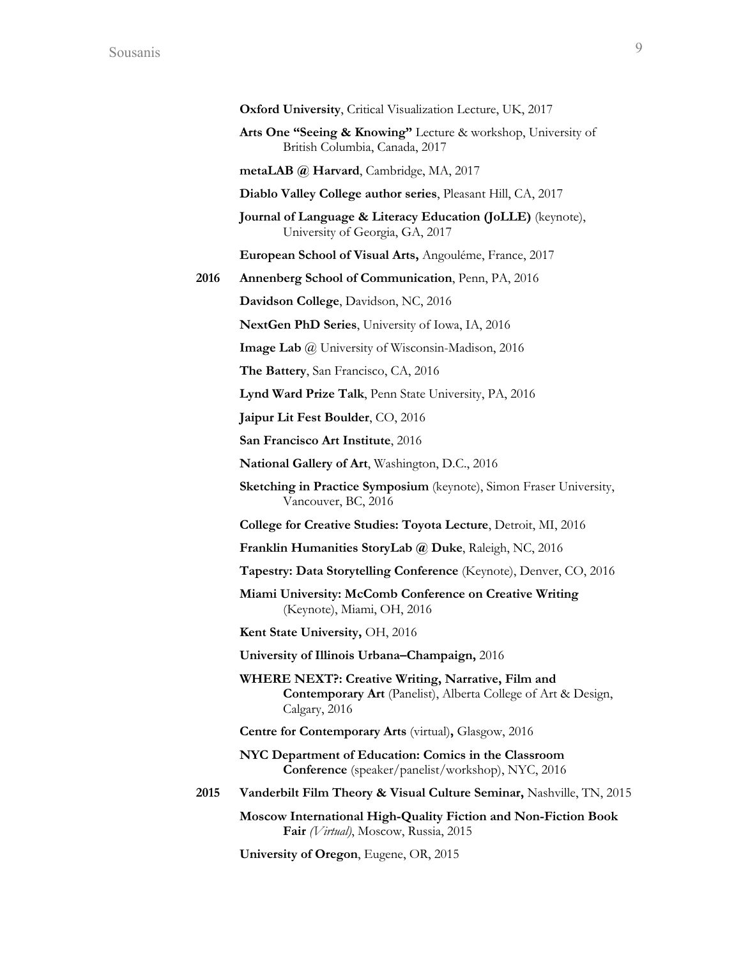|      | Oxford University, Critical Visualization Lecture, UK, 2017                                                                                 |
|------|---------------------------------------------------------------------------------------------------------------------------------------------|
|      | Arts One "Seeing & Knowing" Lecture & workshop, University of<br>British Columbia, Canada, 2017                                             |
|      | metaLAB @ Harvard, Cambridge, MA, 2017                                                                                                      |
|      | Diablo Valley College author series, Pleasant Hill, CA, 2017                                                                                |
|      | Journal of Language & Literacy Education (JoLLE) (keynote),<br>University of Georgia, GA, 2017                                              |
|      | European School of Visual Arts, Angouléme, France, 2017                                                                                     |
| 2016 | Annenberg School of Communication, Penn, PA, 2016                                                                                           |
|      | Davidson College, Davidson, NC, 2016                                                                                                        |
|      | NextGen PhD Series, University of Iowa, IA, 2016                                                                                            |
|      | <b>Image Lab</b> @ University of Wisconsin-Madison, 2016                                                                                    |
|      | The Battery, San Francisco, CA, 2016                                                                                                        |
|      | Lynd Ward Prize Talk, Penn State University, PA, 2016                                                                                       |
|      | Jaipur Lit Fest Boulder, CO, 2016                                                                                                           |
|      | San Francisco Art Institute, 2016                                                                                                           |
|      | National Gallery of Art, Washington, D.C., 2016                                                                                             |
|      | Sketching in Practice Symposium (keynote), Simon Fraser University,<br>Vancouver, BC, 2016                                                  |
|      | College for Creative Studies: Toyota Lecture, Detroit, MI, 2016                                                                             |
|      | Franklin Humanities StoryLab @ Duke, Raleigh, NC, 2016                                                                                      |
|      | Tapestry: Data Storytelling Conference (Keynote), Denver, CO, 2016                                                                          |
|      | Miami University: McComb Conference on Creative Writing<br>(Keynote), Miami, OH, 2016                                                       |
|      | Kent State University, OH, 2016                                                                                                             |
|      | University of Illinois Urbana-Champaign, 2016                                                                                               |
|      | WHERE NEXT?: Creative Writing, Narrative, Film and<br><b>Contemporary Art</b> (Panelist), Alberta College of Art & Design,<br>Calgary, 2016 |
|      | <b>Centre for Contemporary Arts (virtual), Glasgow, 2016</b>                                                                                |
|      | NYC Department of Education: Comics in the Classroom<br>Conference (speaker/panelist/workshop), NYC, 2016                                   |
| 2015 | <b>Vanderbilt Film Theory &amp; Visual Culture Seminar, Nashville, TN, 2015</b>                                                             |
|      | Moscow International High-Quality Fiction and Non-Fiction Book<br>Fair (Virtual), Moscow, Russia, 2015                                      |
|      | University of Oregon, Eugene, OR, 2015                                                                                                      |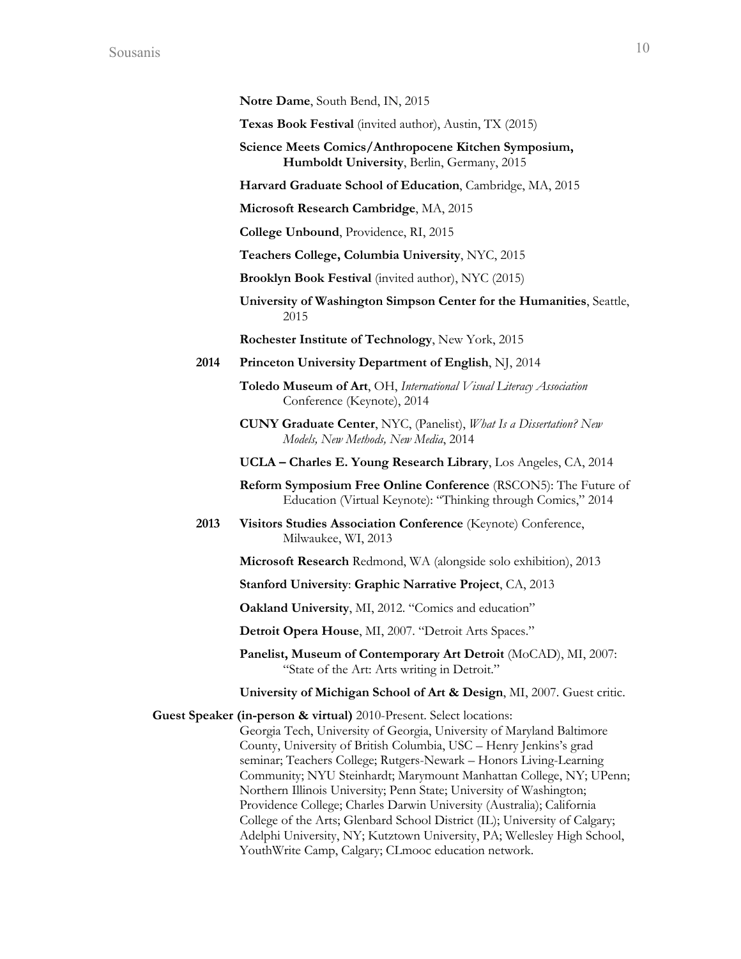| <b>Notre Dame, South Bend, IN, 2015</b> |  |  |  |  |
|-----------------------------------------|--|--|--|--|
|-----------------------------------------|--|--|--|--|

**Texas Book Festival** (invited author), Austin, TX (2015)

**Science Meets Comics/Anthropocene Kitchen Symposium, Humboldt University**, Berlin, Germany, 2015

**Harvard Graduate School of Education**, Cambridge, MA, 2015

**Microsoft Research Cambridge**, MA, 2015

**College Unbound**, Providence, RI, 2015

**Teachers College, Columbia University**, NYC, 2015

**Brooklyn Book Festival** (invited author), NYC (2015)

**University of Washington Simpson Center for the Humanities**, Seattle, 2015

**Rochester Institute of Technology**, New York, 2015

- **2014 Princeton University Department of English**, NJ, 2014
	- **Toledo Museum of Art**, OH, *International Visual Literacy Association*  Conference (Keynote), 2014
	- **CUNY Graduate Center**, NYC, (Panelist), *What Is a Dissertation? New Models, New Methods, New Media*, 2014

**UCLA – Charles E. Young Research Library**, Los Angeles, CA, 2014

**Reform Symposium Free Online Conference** (RSCON5): The Future of Education (Virtual Keynote): "Thinking through Comics," 2014

**2013 Visitors Studies Association Conference** (Keynote) Conference, Milwaukee, WI, 2013

**Microsoft Research** Redmond, WA (alongside solo exhibition), 2013

**Stanford University**: **Graphic Narrative Project**, CA, 2013

**Oakland University**, MI, 2012. "Comics and education"

**Detroit Opera House**, MI, 2007. "Detroit Arts Spaces."

**Panelist, Museum of Contemporary Art Detroit** (MoCAD), MI, 2007: "State of the Art: Arts writing in Detroit."

**University of Michigan School of Art & Design**, MI, 2007. Guest critic.

**Guest Speaker (in-person & virtual)** 2010-Present. Select locations: Georgia Tech, University of Georgia, University of Maryland Baltimore County, University of British Columbia, USC – Henry Jenkins's grad seminar; Teachers College; Rutgers-Newark – Honors Living-Learning Community; NYU Steinhardt; Marymount Manhattan College, NY; UPenn; Northern Illinois University; Penn State; University of Washington; Providence College; Charles Darwin University (Australia); California College of the Arts; Glenbard School District (IL); University of Calgary; Adelphi University, NY; Kutztown University, PA; Wellesley High School, YouthWrite Camp, Calgary; CLmooc education network.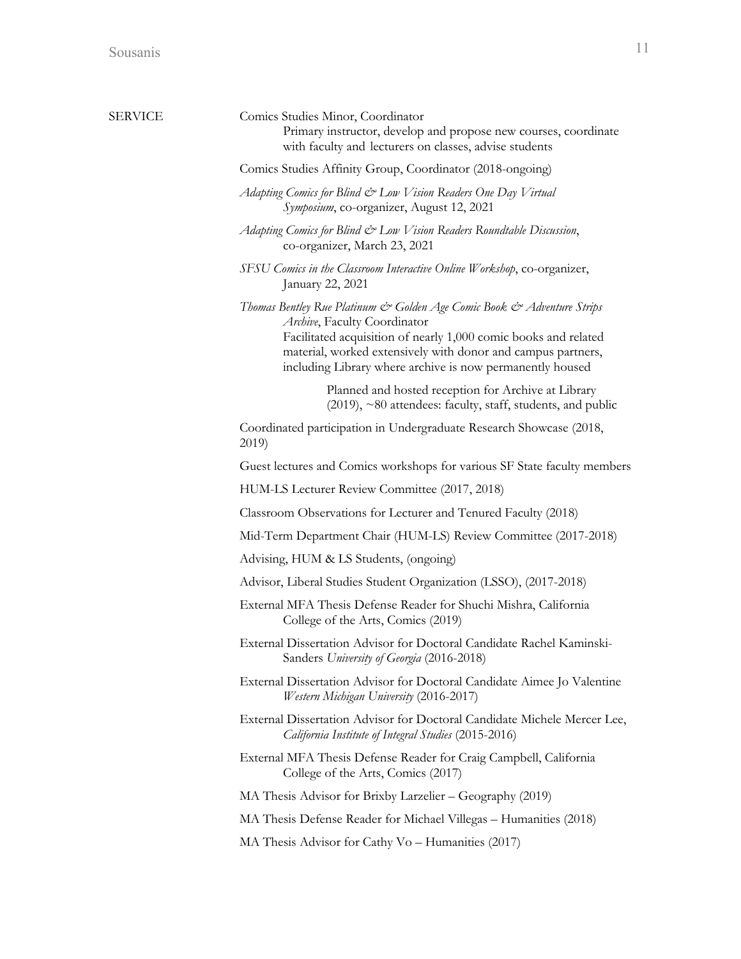| SERVICE | Comics Studies Minor, Coordinator<br>Primary instructor, develop and propose new courses, coordinate<br>with faculty and lecturers on classes, advise students                                                                                                                                         |
|---------|--------------------------------------------------------------------------------------------------------------------------------------------------------------------------------------------------------------------------------------------------------------------------------------------------------|
|         | Comics Studies Affinity Group, Coordinator (2018-ongoing)                                                                                                                                                                                                                                              |
|         | Adapting Comics for Blind & Low Vision Readers One Day Virtual<br>Symposium, co-organizer, August 12, 2021                                                                                                                                                                                             |
|         | Adapting Comics for Blind & Low Vision Readers Roundtable Discussion,<br>co-organizer, March 23, 2021                                                                                                                                                                                                  |
|         | SFSU Comics in the Classroom Interactive Online Workshop, co-organizer,<br>January 22, 2021                                                                                                                                                                                                            |
|         | Thomas Bentley Rue Platinum & Golden Age Comic Book & Adventure Strips<br>Archive, Faculty Coordinator<br>Facilitated acquisition of nearly 1,000 comic books and related<br>material, worked extensively with donor and campus partners,<br>including Library where archive is now permanently housed |
|         | Planned and hosted reception for Archive at Library<br>$(2019)$ , ~80 attendees: faculty, staff, students, and public                                                                                                                                                                                  |
|         | Coordinated participation in Undergraduate Research Showcase (2018,<br>2019)                                                                                                                                                                                                                           |
|         | Guest lectures and Comics workshops for various SF State faculty members                                                                                                                                                                                                                               |
|         | HUM-LS Lecturer Review Committee (2017, 2018)                                                                                                                                                                                                                                                          |
|         | Classroom Observations for Lecturer and Tenured Faculty (2018)                                                                                                                                                                                                                                         |
|         | Mid-Term Department Chair (HUM-LS) Review Committee (2017-2018)                                                                                                                                                                                                                                        |
|         | Advising, HUM & LS Students, (ongoing)                                                                                                                                                                                                                                                                 |
|         | Advisor, Liberal Studies Student Organization (LSSO), (2017-2018)                                                                                                                                                                                                                                      |
|         | External MFA Thesis Defense Reader for Shuchi Mishra, California<br>College of the Arts, Comics (2019)                                                                                                                                                                                                 |
|         | External Dissertation Advisor for Doctoral Candidate Rachel Kaminski-<br>Sanders University of Georgia (2016-2018)                                                                                                                                                                                     |
|         | External Dissertation Advisor for Doctoral Candidate Aimee Jo Valentine<br>Western Michigan University (2016-2017)                                                                                                                                                                                     |
|         | External Dissertation Advisor for Doctoral Candidate Michele Mercer Lee,<br>California Institute of Integral Studies (2015-2016)                                                                                                                                                                       |
|         | External MFA Thesis Defense Reader for Craig Campbell, California<br>College of the Arts, Comics (2017)                                                                                                                                                                                                |
|         | MA Thesis Advisor for Brixby Larzelier - Geography (2019)                                                                                                                                                                                                                                              |
|         | MA Thesis Defense Reader for Michael Villegas – Humanities (2018)                                                                                                                                                                                                                                      |
|         | MA Thesis Advisor for Cathy $Vo$ – Humanities (2017)                                                                                                                                                                                                                                                   |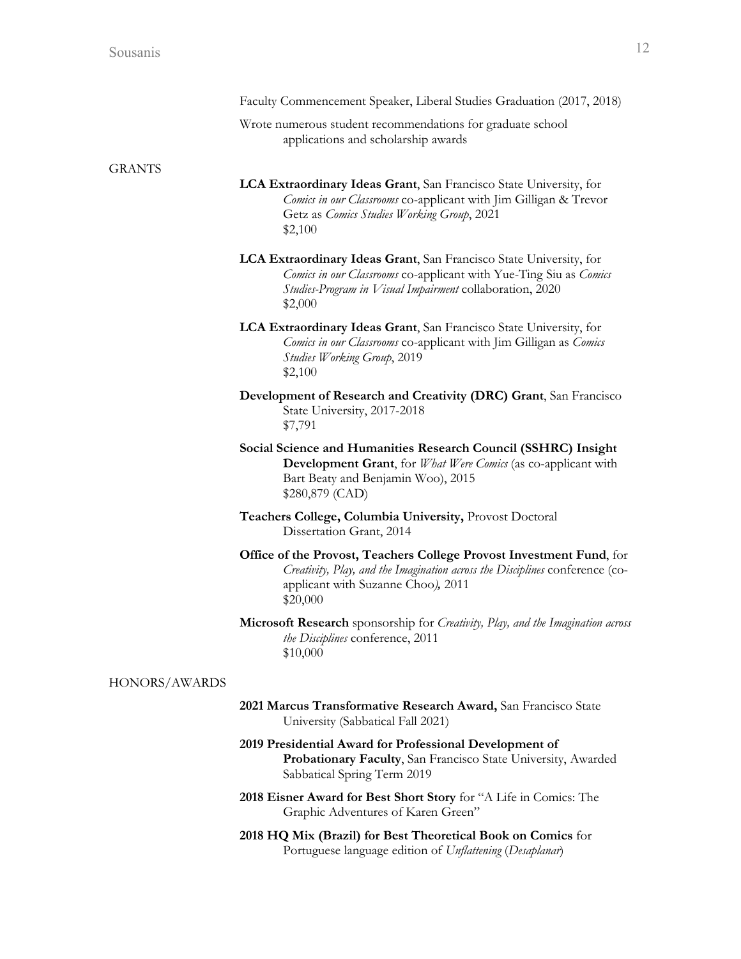|               | Faculty Commencement Speaker, Liberal Studies Graduation (2017, 2018)                                                                                                                                          |
|---------------|----------------------------------------------------------------------------------------------------------------------------------------------------------------------------------------------------------------|
|               | Wrote numerous student recommendations for graduate school<br>applications and scholarship awards                                                                                                              |
| <b>GRANTS</b> |                                                                                                                                                                                                                |
|               | LCA Extraordinary Ideas Grant, San Francisco State University, for<br>Comics in our Classrooms co-applicant with Jim Gilligan & Trevor<br>Getz as Comics Studies Working Group, 2021<br>\$2,100                |
|               | LCA Extraordinary Ideas Grant, San Francisco State University, for<br>Comics in our Classrooms co-applicant with Yue-Ting Siu as Comics<br>Studies-Program in Visual Impairment collaboration, 2020<br>\$2,000 |
|               | <b>LCA Extraordinary Ideas Grant</b> , San Francisco State University, for<br>Comics in our Classrooms co-applicant with Jim Gilligan as Comics<br><b>Studies Working Group, 2019</b><br>\$2,100               |
|               | Development of Research and Creativity (DRC) Grant, San Francisco<br>State University, 2017-2018<br>\$7,791                                                                                                    |
|               | Social Science and Humanities Research Council (SSHRC) Insight<br><b>Development Grant</b> , for <i>What Were Comics</i> (as co-applicant with<br>Bart Beaty and Benjamin Woo), 2015<br>\$280,879 (CAD)        |
|               | Teachers College, Columbia University, Provost Doctoral<br>Dissertation Grant, 2014                                                                                                                            |
|               | Office of the Provost, Teachers College Provost Investment Fund, for<br>Creativity, Play, and the Imagination across the Disciplines conference (co-<br>applicant with Suzanne Choo), 2011<br>\$20,000         |
|               | Microsoft Research sponsorship for Creativity, Play, and the Imagination across<br>the Disciplines conference, 2011<br>\$10,000                                                                                |
| HONORS/AWARDS |                                                                                                                                                                                                                |
|               | 2021 Marcus Transformative Research Award, San Francisco State<br>University (Sabbatical Fall 2021)                                                                                                            |
|               | 2019 Presidential Award for Professional Development of<br>Probationary Faculty, San Francisco State University, Awarded<br>Sabbatical Spring Term 2019                                                        |

- **2018 Eisner Award for Best Short Story** for "A Life in Comics: The Graphic Adventures of Karen Green"
- **2018 HQ Mix (Brazil) for Best Theoretical Book on Comics** for Portuguese language edition of *Unflattening* (*Desaplanar*)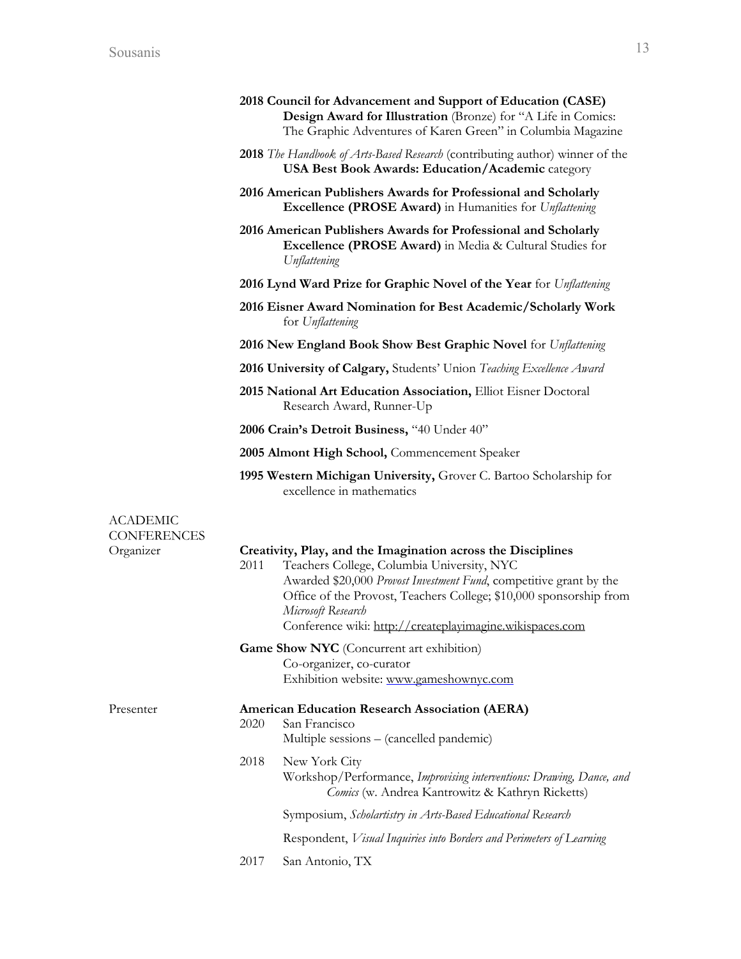|                                |      | 2018 Council for Advancement and Support of Education (CASE)<br>Design Award for Illustration (Bronze) for "A Life in Comics:<br>The Graphic Adventures of Karen Green" in Columbia Magazine                                                                                                                                             |
|--------------------------------|------|------------------------------------------------------------------------------------------------------------------------------------------------------------------------------------------------------------------------------------------------------------------------------------------------------------------------------------------|
|                                |      | <b>2018</b> The Handbook of Arts-Based Research (contributing author) winner of the<br><b>USA Best Book Awards: Education/Academic category</b>                                                                                                                                                                                          |
|                                |      | 2016 American Publishers Awards for Professional and Scholarly<br><b>Excellence (PROSE Award)</b> in Humanities for Unflattening                                                                                                                                                                                                         |
|                                |      | 2016 American Publishers Awards for Professional and Scholarly<br><b>Excellence (PROSE Award)</b> in Media & Cultural Studies for<br>Unflattening                                                                                                                                                                                        |
|                                |      | 2016 Lynd Ward Prize for Graphic Novel of the Year for Unflattening                                                                                                                                                                                                                                                                      |
|                                |      | 2016 Eisner Award Nomination for Best Academic/Scholarly Work<br>for Unflattening                                                                                                                                                                                                                                                        |
|                                |      | 2016 New England Book Show Best Graphic Novel for Unflattening                                                                                                                                                                                                                                                                           |
|                                |      | 2016 University of Calgary, Students' Union Teaching Excellence Award                                                                                                                                                                                                                                                                    |
|                                |      | 2015 National Art Education Association, Elliot Eisner Doctoral<br>Research Award, Runner-Up                                                                                                                                                                                                                                             |
|                                |      | 2006 Crain's Detroit Business, "40 Under 40"                                                                                                                                                                                                                                                                                             |
|                                |      | 2005 Almont High School, Commencement Speaker                                                                                                                                                                                                                                                                                            |
|                                |      | 1995 Western Michigan University, Grover C. Bartoo Scholarship for<br>excellence in mathematics                                                                                                                                                                                                                                          |
| ACADEMIC<br><b>CONFERENCES</b> |      |                                                                                                                                                                                                                                                                                                                                          |
| Organizer                      | 2011 | Creativity, Play, and the Imagination across the Disciplines<br>Teachers College, Columbia University, NYC<br>Awarded \$20,000 Provost Investment Fund, competitive grant by the<br>Office of the Provost, Teachers College; \$10,000 sponsorship from<br>Microsoft Research<br>Conference wiki: http://createplayimagine.wikispaces.com |
|                                |      | Game Show NYC (Concurrent art exhibition)<br>Co-organizer, co-curator<br>Exhibition website: www.gameshownyc.com                                                                                                                                                                                                                         |
| Presenter                      | 2020 | <b>American Education Research Association (AERA)</b><br>San Francisco<br>Multiple sessions - (cancelled pandemic)                                                                                                                                                                                                                       |
|                                | 2018 | New York City<br>Workshop/Performance, Improvising interventions: Drawing, Dance, and<br>Comics (w. Andrea Kantrowitz & Kathryn Ricketts)                                                                                                                                                                                                |
|                                |      | Symposium, Scholartistry in Arts-Based Educational Research                                                                                                                                                                                                                                                                              |
|                                |      | Respondent, <i>Visual Inquiries into Borders and Perimeters of Learning</i>                                                                                                                                                                                                                                                              |
|                                | 2017 | San Antonio, TX                                                                                                                                                                                                                                                                                                                          |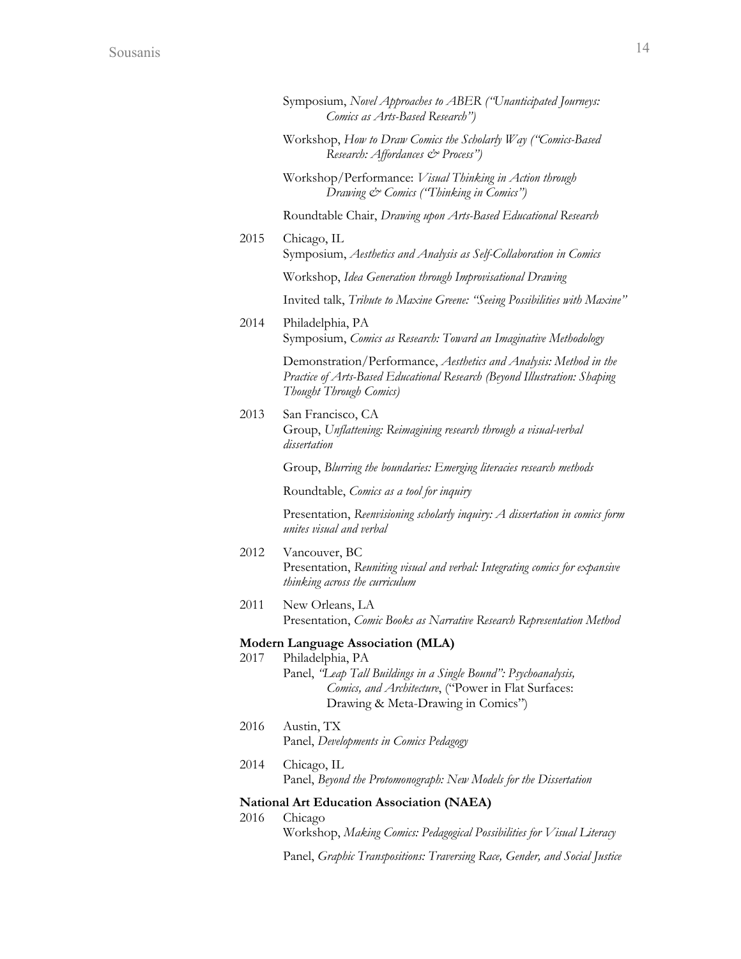|      | Symposium, Novel Approaches to ABER ("Unanticipated Journeys:<br>Comics as Arts-Based Research")                                                                                  |
|------|-----------------------------------------------------------------------------------------------------------------------------------------------------------------------------------|
|      | Workshop, How to Draw Comics the Scholarly Way ("Comics-Based<br>Research: Affordances & Process")                                                                                |
|      | Workshop/Performance: Visual Thinking in Action through<br>Drawing & Comics ("Thinking in Comics")                                                                                |
|      | Roundtable Chair, Drawing upon Arts-Based Educational Research                                                                                                                    |
| 2015 | Chicago, IL<br>Symposium, Aesthetics and Analysis as Self-Collaboration in Comics                                                                                                 |
|      | Workshop, Idea Generation through Improvisational Drawing                                                                                                                         |
|      | Invited talk, Tribute to Maxine Greene: "Seeing Possibilities with Maxine"                                                                                                        |
| 2014 | Philadelphia, PA<br>Symposium, Comics as Research: Toward an Imaginative Methodology                                                                                              |
|      | Demonstration/Performance, Aesthetics and Analysis: Method in the<br>Practice of Arts-Based Educational Research (Beyond Illustration: Shaping<br>Thought Through Comics)         |
| 2013 | San Francisco, CA<br>Group, Unflattening: Reimagining research through a visual-verbal<br>dissertation                                                                            |
|      | Group, Blurring the boundaries: Emerging literacies research methods                                                                                                              |
|      | Roundtable, Comics as a tool for inquiry                                                                                                                                          |
|      | Presentation, Reenvisioning scholarly inquiry: A dissertation in comics form<br>unites visual and verbal                                                                          |
| 2012 | Vancouver, BC<br>Presentation, Reuniting visual and verbal: Integrating comics for expansive<br>thinking across the curriculum                                                    |
| 2011 | New Orleans, LA<br>Presentation, Comic Books as Narrative Research Representation Method                                                                                          |
| 2017 | Modern Language Association (MLA)                                                                                                                                                 |
|      | Philadelphia, PA<br>Panel, 'Leap Tall Buildings in a Single Bound'': Psychoanalysis,<br>Comics, and Architecture, ("Power in Flat Surfaces:<br>Drawing & Meta-Drawing in Comics") |
| 2016 | Austin, TX<br>Panel, Developments in Comics Pedagogy                                                                                                                              |
| 2014 | Chicago, IL<br>Panel, Beyond the Protomonograph: New Models for the Dissertation                                                                                                  |
|      | National Art Education Association (NAEA)                                                                                                                                         |
| 2016 | Chicago<br>Workshop, Making Comics: Pedagogical Possibilities for Visual Literacy                                                                                                 |
|      | Panel, Graphic Transpositions: Traversing Race, Gender, and Social Justice                                                                                                        |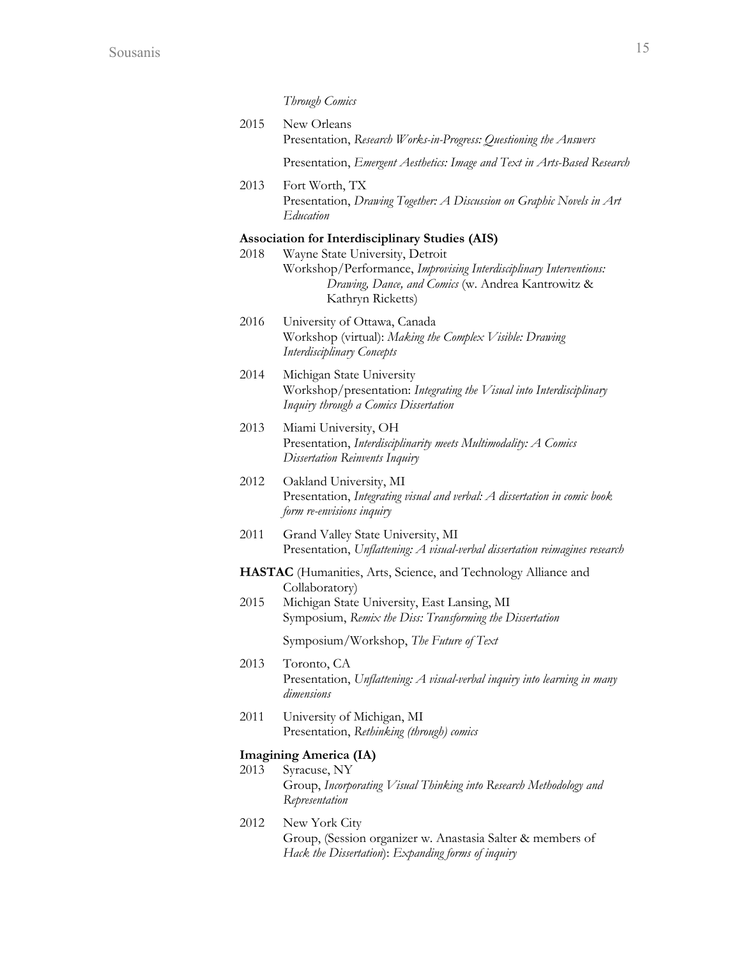| Through Comics |  |
|----------------|--|
|                |  |

| 2015 | New Orleans<br>Presentation, Research Works-in-Progress: Questioning the Answers |
|------|----------------------------------------------------------------------------------|
|      | Presentation, <i>Emergent Aesthetics: Image and Text in Arts-Based Research</i>  |
| 2013 | Fort Worth, TX                                                                   |

Presentation, *Drawing Together: A Discussion on Graphic Novels in Art Education*

# **Association for Interdisciplinary Studies (AIS)**

- 2018 Wayne State University, Detroit Workshop/Performance, *Improvising Interdisciplinary Interventions: Drawing, Dance, and Comics* (w. Andrea Kantrowitz & Kathryn Ricketts)
- 2016 University of Ottawa, Canada Workshop (virtual): *Making the Complex Visible: Drawing Interdisciplinary Concepts*
- 2014 Michigan State University Workshop/presentation: *Integrating the Visual into Interdisciplinary Inquiry through a Comics Dissertation*
- 2013 Miami University, OH Presentation, *Interdisciplinarity meets Multimodality: A Comics Dissertation Reinvents Inquiry*
- 2012 Oakland University, MI Presentation, *Integrating visual and verbal: A dissertation in comic book form re-envisions inquiry*
- 2011 Grand Valley State University, MI Presentation, *Unflattening: A visual-verbal dissertation reimagines research*
- **HASTAC** (Humanities, Arts, Science, and Technology Alliance and Collaboratory)
- 2015 Michigan State University, East Lansing, MI Symposium, *Remix the Diss: Transforming the Dissertation*

Symposium/Workshop, *The Future of Text*

- 2013 Toronto, CA Presentation, *Unflattening: A visual-verbal inquiry into learning in many dimensions*
- 2011 University of Michigan, MI Presentation, *Rethinking (through) comics*

#### **Imagining America (IA)**

- 2013 Syracuse, NY Group, *Incorporating Visual Thinking into Research Methodology and Representation*
- 2012 New York City Group, (Session organizer w. Anastasia Salter & members of *Hack the Dissertation*): *Expanding forms of inquiry*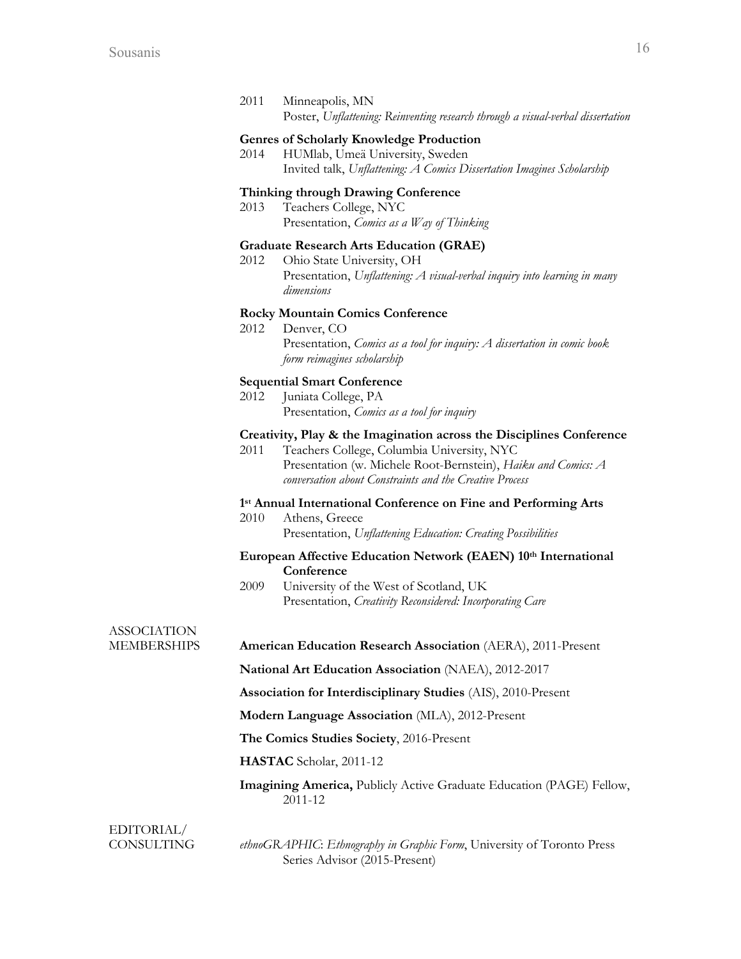| 2011 | Minneapolis, MN                                                                 |
|------|---------------------------------------------------------------------------------|
|      | Poster, Unflattening: Reinventing research through a visual-verbal dissertation |

# **Genres of Scholarly Knowledge Production**

2014 HUMlab, Umeä University, Sweden Invited talk, *Unflattening: A Comics Dissertation Imagines Scholarship*

## **Thinking through Drawing Conference**

2013 Teachers College, NYC Presentation, *Comics as a Way of Thinking*

#### **Graduate Research Arts Education (GRAE)**

2012 Ohio State University, OH Presentation, *Unflattening: A visual-verbal inquiry into learning in many dimensions*

### **Rocky Mountain Comics Conference**

2012 Denver, CO Presentation, *Comics as a tool for inquiry: A dissertation in comic book form reimagines scholarship*

#### **Sequential Smart Conference**

2012 Juniata College, PA Presentation, *Comics as a tool for inquiry*

## **Creativity, Play & the Imagination across the Disciplines Conference**

2011 Teachers College, Columbia University, NYC Presentation (w. Michele Root-Bernstein), *Haiku and Comics: A conversation about Constraints and the Creative Process*

#### **1st Annual International Conference on Fine and Performing Arts**

2010 Athens, Greece Presentation, *Unflattening Education: Creating Possibilities*

## **European Affective Education Network (EAEN) 10th International Conference**

2009 University of the West of Scotland, UK Presentation, *Creativity Reconsidered: Incorporating Care*

# ASSOCIATION

MEMBERSHIPS **American Education Research Association** (AERA), 2011-Present

**National Art Education Association** (NAEA), 2012-2017

**Association for Interdisciplinary Studies** (AIS), 2010-Present

**Modern Language Association** (MLA), 2012-Present

**The Comics Studies Society**, 2016-Present

**HASTAC** Scholar, 2011-12

## **Imagining America,** Publicly Active Graduate Education (PAGE) Fellow, 2011-12

EDITORIAL/

CONSULTING *ethnoGRAPHIC*: *Ethnography in Graphic Form*, University of Toronto Press Series Advisor (2015-Present)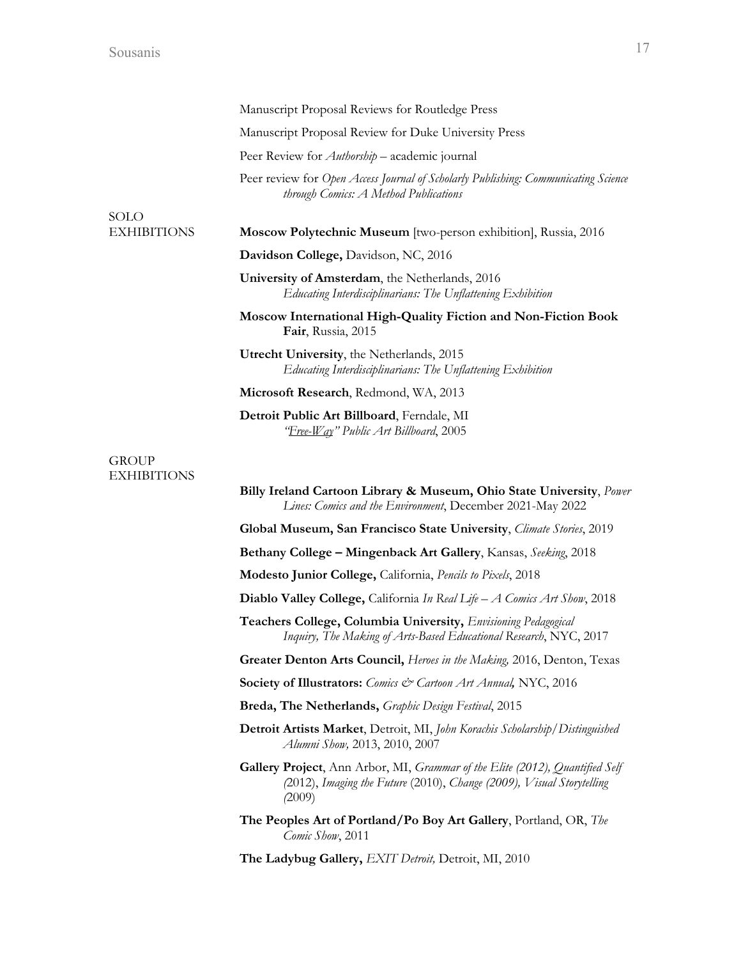|                                    | Manuscript Proposal Reviews for Routledge Press                                                                                                                                        |
|------------------------------------|----------------------------------------------------------------------------------------------------------------------------------------------------------------------------------------|
|                                    | Manuscript Proposal Review for Duke University Press                                                                                                                                   |
|                                    | Peer Review for <i>Authorship</i> – academic journal                                                                                                                                   |
|                                    | Peer review for Open Access Journal of Scholarly Publishing: Communicating Science<br>through Comics: A Method Publications                                                            |
| <b>SOLO</b>                        |                                                                                                                                                                                        |
| <b>EXHIBITIONS</b>                 | Moscow Polytechnic Museum [two-person exhibition], Russia, 2016                                                                                                                        |
|                                    | Davidson College, Davidson, NC, 2016                                                                                                                                                   |
|                                    | University of Amsterdam, the Netherlands, 2016<br>Educating Interdisciplinarians: The Unflattening Exhibition                                                                          |
|                                    | Moscow International High-Quality Fiction and Non-Fiction Book<br>Fair, Russia, 2015                                                                                                   |
|                                    | Utrecht University, the Netherlands, 2015<br>Educating Interdisciplinarians: The Unflattening Exhibition                                                                               |
|                                    | Microsoft Research, Redmond, WA, 2013                                                                                                                                                  |
|                                    | Detroit Public Art Billboard, Ferndale, MI<br><u> 'Free-Way</u> '' Public Art Billboard, 2005                                                                                          |
| <b>GROUP</b><br><b>EXHIBITIONS</b> |                                                                                                                                                                                        |
|                                    | <b>Billy Ireland Cartoon Library &amp; Museum, Ohio State University</b> , <i>Power</i><br>Lines: Comics and the Environment, December 2021-May 2022                                   |
|                                    | <b>Global Museum, San Francisco State University</b> , <i>Climate Stories</i> , 2019                                                                                                   |
|                                    | Bethany College - Mingenback Art Gallery, Kansas, Seeking, 2018                                                                                                                        |
|                                    | Modesto Junior College, California, Pencils to Pixels, 2018                                                                                                                            |
|                                    | Diablo Valley College, California In Real Life - A Comics Art Show, 2018                                                                                                               |
|                                    | Teachers College, Columbia University, Envisioning Pedagogical<br>Inquiry, The Making of Arts-Based Educational Research, NYC, 2017                                                    |
|                                    | Greater Denton Arts Council, Heroes in the Making, 2016, Denton, Texas                                                                                                                 |
|                                    | Society of Illustrators: Comics & Cartoon Art Annual, NYC, 2016                                                                                                                        |
|                                    | Breda, The Netherlands, Graphic Design Festival, 2015                                                                                                                                  |
|                                    | Detroit Artists Market, Detroit, MI, John Korachis Scholarship/Distinguished<br>Alumni Show, 2013, 2010, 2007                                                                          |
|                                    | <b>Gallery Project</b> , Ann Arbor, MI, <i>Grammar of the Elite (2012)</i> , <i>Quantified Self</i><br>(2012), Imaging the Future (2010), Change (2009), Visual Storytelling<br>(2009) |
|                                    | The Peoples Art of Portland/Po Boy Art Gallery, Portland, OR, The<br>Comic Show, 2011                                                                                                  |
|                                    | The Ladybug Gallery, EXIT Detroit, Detroit, MI, 2010                                                                                                                                   |